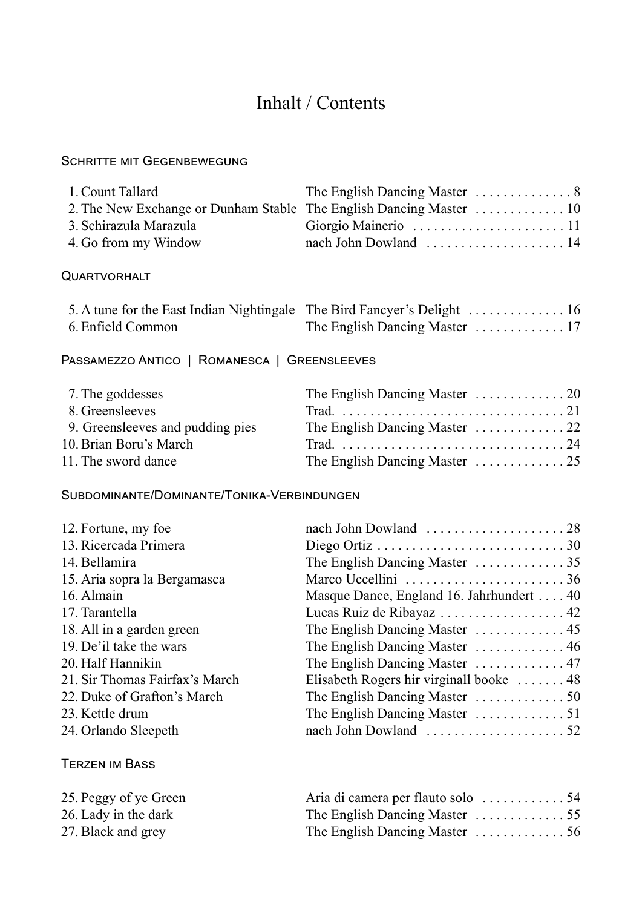### Inhalt / Contents

#### Schritte mit Gegenbewegung

| 1. Count Tallard       |                                                           |
|------------------------|-----------------------------------------------------------|
|                        |                                                           |
| 3. Schirazula Marazula |                                                           |
| 4. Go from my Window   | nach John Dowland $\ldots \ldots \ldots \ldots \ldots 14$ |
|                        |                                                           |

#### **QUARTVORHALT**

| 6. Enfield Common |  |
|-------------------|--|

#### Passamezzo Antico | Romanesca | Greensleeves

| 7. The goddesses                 |                                |  |
|----------------------------------|--------------------------------|--|
| 8. Greensleeves                  |                                |  |
| 9. Greensleeves and pudding pies | The English Dancing Master  22 |  |
| 10. Brian Boru's March           |                                |  |
| 11. The sword dance              |                                |  |

#### Subdominante/Dominante/Tonika-Verbindungen

| 12. Fortune, my foe            |                                                                              |
|--------------------------------|------------------------------------------------------------------------------|
| 13. Ricercada Primera          | Diego Ortiz $\dots \dots \dots \dots \dots \dots \dots \dots \dots \dots 30$ |
| 14. Bellamira                  | The English Dancing Master 35                                                |
| 15. Aria sopra la Bergamasca   | Marco Uccellini 36                                                           |
| 16. Almain                     | Masque Dance, England 16. Jahrhundert 40                                     |
| 17. Tarantella                 | Lucas Ruiz de Ribayaz  42                                                    |
| 18. All in a garden green      |                                                                              |
| 19. De'il take the wars        | The English Dancing Master  46                                               |
| 20. Half Hannikin              | The English Dancing Master  47                                               |
| 21. Sir Thomas Fairfax's March | Elisabeth Rogers hir virginall booke  48                                     |
| 22. Duke of Grafton's March    |                                                                              |
| 23. Kettle drum                |                                                                              |
| 24. Orlando Sleepeth           |                                                                              |
|                                |                                                                              |

#### Terzen im Bass

| 25. Peggy of ye Green | Aria di camera per flauto solo 54                       |  |
|-----------------------|---------------------------------------------------------|--|
| 26. Lady in the dark  | The English Dancing Master $\dots \dots \dots \dots 55$ |  |
| 27. Black and grey    | The English Dancing Master $\dots \dots \dots \dots 56$ |  |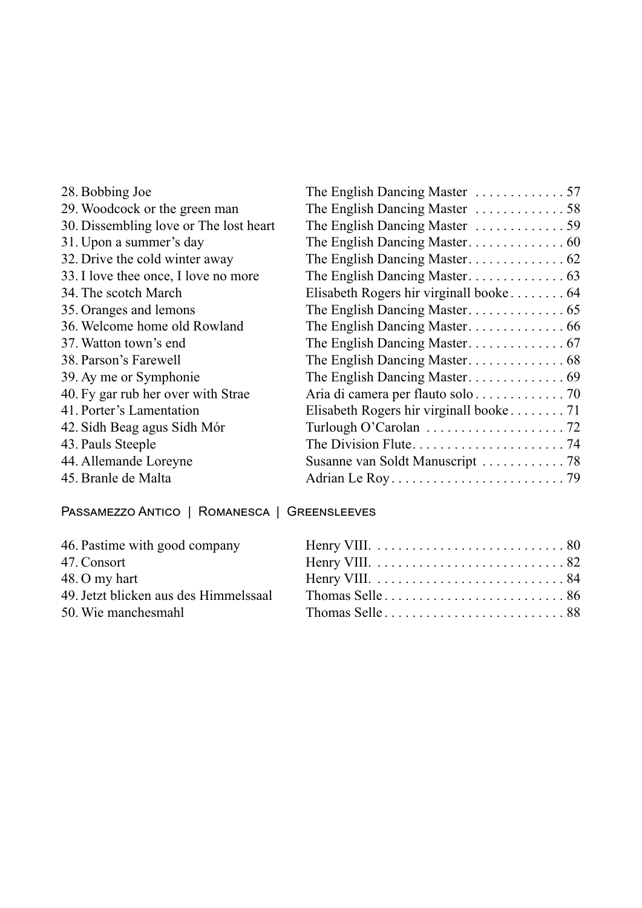| 28. Bobbing Joe                        | The English Dancing Master 57           |
|----------------------------------------|-----------------------------------------|
| 29. Woodcock or the green man          | The English Dancing Master 58           |
| 30. Dissembling love or The lost heart |                                         |
| 31. Upon a summer's day                |                                         |
| 32. Drive the cold winter away         |                                         |
| 33. I love thee once, I love no more   |                                         |
| 34. The scotch March                   | Elisabeth Rogers hir virginall booke 64 |
| 35. Oranges and lemons                 |                                         |
| 36. Welcome home old Rowland           |                                         |
| 37. Watton town's end                  |                                         |
| 38. Parson's Farewell                  |                                         |
| 39. Ay me or Symphonie                 |                                         |
| 40. Fy gar rub her over with Strae     | Aria di camera per flauto solo 70       |
| 41. Porter's Lamentation               |                                         |
| 42. Sídh Beag agus Sídh Mór            |                                         |
| 43. Pauls Steeple                      |                                         |
| 44. Allemande Loreyne                  | Susanne van Soldt Manuscript  78        |
| 45. Branle de Malta                    |                                         |

Passamezzo Antico | Romanesca | Greensleeves

| 46. Pastime with good company         |                                                                                             |
|---------------------------------------|---------------------------------------------------------------------------------------------|
| 47. Consort                           | Henry VIII. $\dots \dots \dots \dots \dots \dots \dots \dots \dots \dots \ 82$              |
| 48. O my hart                         | Henry VIII. $\dots \dots \dots \dots \dots \dots \dots \dots \dots \dots \dots \dots \, 84$ |
| 49. Jetzt blicken aus des Himmelssaal | Thomas Selle $\dots \dots \dots \dots \dots \dots \dots \dots \dots$ 86                     |
| 50. Wie manchesmahl                   | Thomas Selle $\dots \dots \dots \dots \dots \dots \dots \dots \dots$ 88                     |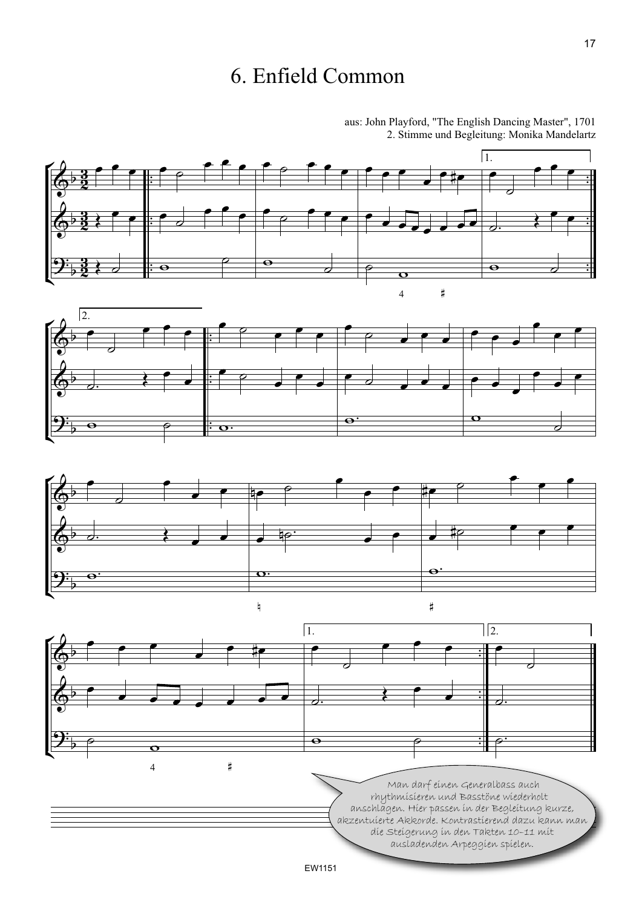## 6. Enfield Common

° ¢ ° ¢ ° ¢ ° ¢ ™ ™ ™ —<br>" ™ ™ 1. ™ ™ —<br>=<br>= ™ ™ ™ 2. ™ ™ ™ ™ ™ ™  $\sqrt{1}$ . —<br>; —<br>" ™ ™ ™ ™  $\sqrt{2}$ . <u>រូ</u>  $\frac{3}{2}$ <u>រូ</u>  $\frac{3}{2}$ <u>រូ</u>  $\frac{3}{2}$  $\overline{\mathbb{Q}^{\flat}}$  $\overline{\mathbb{Q}^{\flat}}$  $\mathbf{\mathcal{P}}$  , 4 #  $\overline{\mathbb{Q}^{\flat}}$  $\overline{\mathbb{Q}^{\flat}}$  $\mathbf{\mathcal{P}}$  ,  $\overline{\mathbb{Q}^{\flat}}$  $\overline{\mathbb{Q}^{\flat}}$  $\mathbf{\mathcal{P}}$  , § #  $\overline{\mathbb{Q}^{\flat}}$  $\overline{\mathbb{Q}^{\flat}}$  $\mathbf{\mathcal{P}}$  , 4  $\sharp$  $\bullet$   $\bullet$   $\bullet$   $\bullet$   $\circ$  $e \cdot e \cdot e \cdot e \cdot e \cdot e \cdot e$ œ  $e$ # $e$   $\rightarrow$  $\overline{\phantom{a}}$  $\overrightarrow{e}$  $\epsilon$  e  $\epsilon$  $\frac{1}{2}$  $\overline{\phantom{a}}$ œ œ  $\overline{P}$  $\bullet$   $\bullet$   $\bullet$ <sup>œ</sup> <sup>œ</sup> <sup>œ</sup> <sup>œ</sup> <sup>œ</sup> <sup>œ</sup> <sup>œ</sup> ˙™ <sup>Œ</sup> <sup>œ</sup> <sup>œ</sup> Œ ˙ w  $\overline{\mathbf{r}}$   $\overline{\mathbf{r}}$  $\overline{\sigma}$   $\overline{\rho}$  $\overline{\mathbf{o}}$  $\overline{\circ}$ œ  $\overline{d}$  $\qquad \qquad \bullet$  $\bullet$   $\circ$   $\bullet$   $\bullet$   $\bullet$ œ  $\circ$   $\bullet$   $\bullet$   $\bullet$  $\bullet$   $\bullet$ œ œ œ  $\frac{1}{\alpha}$ . œ  $\overline{\phantom{a}}$ œ œ œ ● *。* ●  $\overline{\phantom{a}}$ œ œ œ œ  $\begin{array}{c|c|c|c} \hline \circ & \circ & \circ \end{array}$  $\overline{\phantom{a}}$ œ  $\overline{d}$ œ  $e$  ie  $e$ œ œ œ #œ ˙ œ  $\overline{\mathbf{e}}$ ˙™ <sup>Œ</sup> <sup>œ</sup> <sup>œ</sup> <sup>œ</sup> n˙™ <sup>œ</sup> <sup>œ</sup> <sup>œ</sup> #˙ <sup>œ</sup> <sup>œ</sup> <sup>œ</sup>  $\begin{array}{c|c} \mathbf{v} & \mathbf{v} \end{array}$  $\bullet$   $\bullet$   $\bullet$ œ œ #œ œ  $\overline{\phantom{a}}$ œ œ œ œ  $\overline{\phantom{a}}$ œ <sup>œ</sup> <sup>œ</sup> <sup>œ</sup> <sup>œ</sup> <sup>œ</sup> <sup>œ</sup> <sup>œ</sup> ˙™ <sup>Œ</sup> <sup>œ</sup>  $\begin{array}{c} \bullet \quad \cdot \quad \cdot \\ \bullet \quad \cdot \quad \cdot \end{array}$  $\overline{P}$  $\overline{\mathbf{O}}$  $\begin{array}{c|c}\n\bullet & \circ \\
\end{array}$   $\begin{array}{c|c}\n\circ \\
\end{array}$   $\begin{array}{c|c}\n\circ \\
\end{array}$  Man darf einen Generalbass auch rhythmisieren und Basstöne wiederholt anschlagen. Hier passen in der Begleitung kurze, akzentuierte Akkorde. Kontrastierend dazu kann man die Steigerung in den Takten 10–11 mit ausladenden Arpeggien spielen.

aus: John Playford, "The English Dancing Master", 1701 2. Stimme und Begleitung: Monika Mandelartz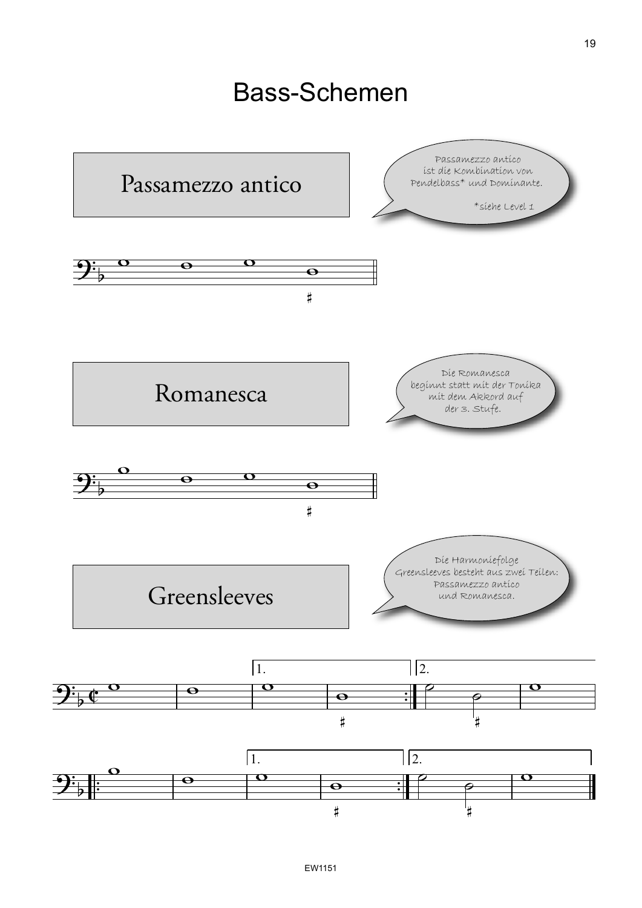# Bass-Schemen



EW1151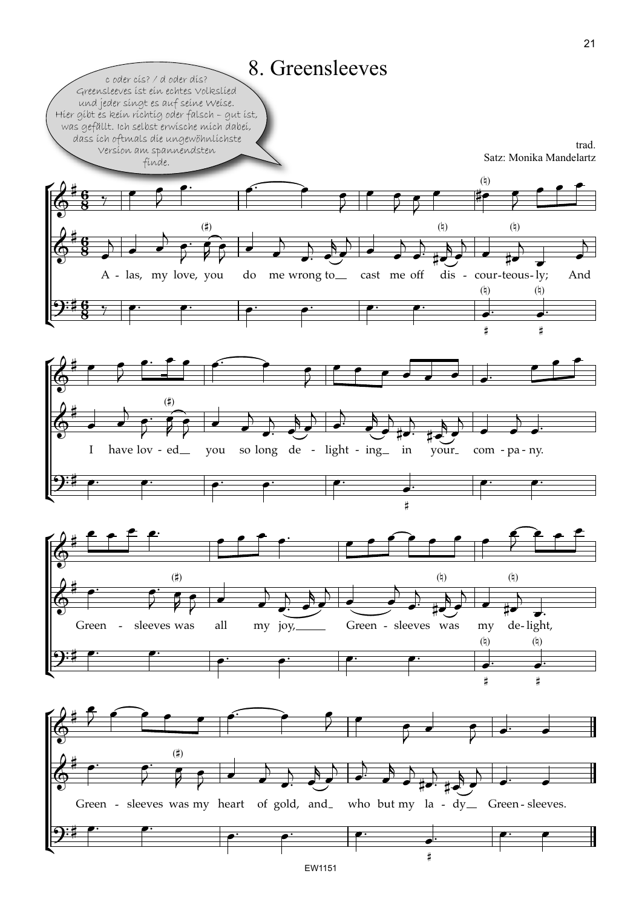### 8. Greensleeves

° ¢ ° ¢ ° ¢ ° ¢  $(h)$ A - las, my love, you (#) do me wrong to \_ cast me off  $(h)$ - cour-teous-ly; And  $(h)$  $(h)$ #  $(h)$ # I have lov - ed\_ (#) you so long de - light - ing\_ in your\_ com - pa - ny. # Green - sleeves was (#) all my joy, Green - sleeves was  $(h)$ my  $(h)$ - light,  $(h)$ #  $(h)$ # Green - sleeves was my heart of gold, and (#) who but my la -  $dy$  - Green-sleeves.  $\frac{6}{2}$ <u>ti</u><br>8  $\overline{6}$ <u>ե</u><br>8  $\frac{6}{5}$ <u>ե</u><br>8  $\oint$ trad. Satz: Monika Mandelartz  $\frac{\partial}{\partial \varphi}$  $\overline{ \Omega^{\cdot \sharp}}$  $\&$  $\mathbf{\hat{\phi}}^*$  $\overline{ \Theta^{\boldsymbol{:}\sharp} }$  $\&$  $\delta^*$  $\overline{ \Omega^{\cdot \sharp}}$  $\&$  $\oint$  $\overline{ \mathbf{ \Theta }^{H}}$ ‰  $\overline{e}$  $\overline{2}$ œ™ œ™ œ œ J  $\overline{\mathcal{C}}$  $\overline{5}$ J  $e$   $\frac{1}{2}e$   $e$ J  $e$   $e$   $e$ œ  $\sum_{i=1}^n$  $\frac{1}{\sqrt{2}}$  $\bar{P}$ œ  $\widehat{\mathfrak{p}}$  $\frac{1}{2}$  e  $\frac{1}{2}$  $\overline{y}$ œ™  $\frac{1}{2}$ r  $\overline{\phantom{a}}$  $\rightarrow$ j œ™ j #œ r œ <sup>j</sup> <sup>œ</sup> #œ  $\overline{ }$ œ œ  $\overline{ }$ ‰ œ™ œ™ œ™ œ™ œ™ œ™ œ™ œ™  $\bullet$   $\bullet$  $\overline{2}$  $e \cdot \frac{1}{\sqrt{2}}$  e  $\frac{1}{\sqrt{2}}$  e  $\frac{1}{\sqrt{2}}$  $\bar{\!\!\vec{Z}}$ <sup>œ</sup> <sup>œ</sup> <sup>œ</sup> <sup>œ</sup> <sup>œ</sup> <sup>œ</sup> <sup>œ</sup>™ <sup>œ</sup> <sup>œ</sup> <sup>œ</sup>  $\overrightarrow{e}$  $\frac{1}{\sqrt{1-\frac{1}{\sqrt{1-\frac{1}{\sqrt{1-\frac{1}{\sqrt{1-\frac{1}{\sqrt{1-\frac{1}{\sqrt{1-\frac{1}{\sqrt{1-\frac{1}{\sqrt{1-\frac{1}{\sqrt{1-\frac{1}{\sqrt{1-\frac{1}{\sqrt{1-\frac{1}{\sqrt{1-\frac{1}{\sqrt{1-\frac{1}{\sqrt{1-\frac{1}{\sqrt{1-\frac{1}{\sqrt{1-\frac{1}{\sqrt{1-\frac{1}{\sqrt{1-\frac{1}{\sqrt{1-\frac{1}{\sqrt{1-\frac{1}{\sqrt{1-\frac{1}{\sqrt{1-\frac{1}{\sqrt{1-\frac{1}{\sqrt{1-\frac{1$ J œ  $\widehat{\mathbb{F}}$  $\frac{1}{2}$  e  $\frac{1}{2}$ j œ™  $\overline{\phantom{a}}$ r œ  $\rightarrow$  $\overline{a}$ œ r œ  $\overline{1}$ #œ™  $\frac{1}{4}$ r œ  $j_{\rm esc}$  $\overline{1}$ œ™ **e**™ e™ e™ e™ e™ e™ e™ e™ e™ <sup>œ</sup> <sup>œ</sup> <sup>œ</sup> <sup>œ</sup>™ <sup>œ</sup> <sup>œ</sup> <sup>œ</sup> <sup>œ</sup>™ <sup>œ</sup> <sup>œ</sup> <sup>œ</sup> <sup>œ</sup> <sup>œ</sup> <sup>œ</sup> <sup>œ</sup> œ J  $e$   $e$   $f$ <u>o∵ e</u>  $\overline{5}$  2  $\overline{\mathcal{E}}$  $\bullet$  $\overline{y}$ œ™  $\sum$ r œ  $j \sim$  $\overline{ }$ œ™  $\frac{1}{4}$ r  $\overline{\phantom{0}}$  $\sum_{\sharp}$  $\overline{\phantom{a}}$ œ™ <sup>œ</sup>™ <sup>œ</sup>™ <sup>œ</sup>™ <sup>œ</sup>™ <sup>œ</sup>™ <sup>œ</sup>™ <sup>œ</sup>™ <sup>œ</sup>™ œ  $\bullet$   $\bullet$   $\bullet$   $\bullet$   $\bullet$   $\bullet$   $\bullet$  $\overline{\phantom{a}}$ œ  $\overline{\mathfrak{z}}$  e  $\overline{\mathfrak{z}}$  $\bullet$   $\bullet$ <u>e∴ e</u>∴  $\overline{5}$  $\overline{\partial}$  $\bullet$   $\bullet$ j œ™  $\overline{\phantom{a}}$ r œ  $\rightarrow$  $\overline{A}$ œ r œ  $\overline{ }$ #œ™  $\overline{ }$ ‡< r œ  $j$   $\theta$ **e**™ e™ e™ e™ e™ e™ e™ e™ e™ e™ c oder cis? / d oder dis? Greensleeves ist ein echtes Volkslied und jeder singt es auf seine Weise. Hier gibt es kein richtig oder falsch – gut ist, was gefällt. Ich selbst erwische mich dabei, dass ich oftmals die ungewöhnlichste Version am spannendsten finde.

#